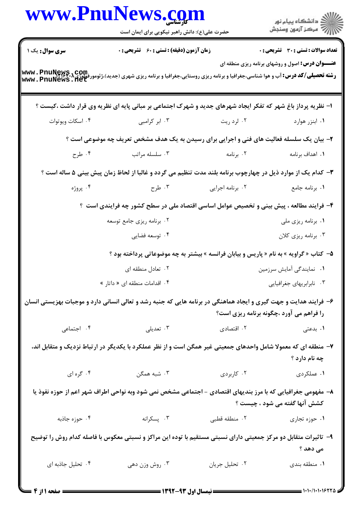|                   | حضرت علی(ع): دانش راهبر نیکویی برای ایمان است                                                                                                   |                          | ِ<br>∭ دانشڪاه پيام نور<br>∭ مرڪز آزمون وسنڊش           |  |
|-------------------|-------------------------------------------------------------------------------------------------------------------------------------------------|--------------------------|---------------------------------------------------------|--|
| سری سوال: یک ۱    | <b>زمان آزمون (دقیقه) : تستی : 60 ٪ تشریحی : 0</b>                                                                                              |                          | <b>تعداد سوالات : تستی : 30 - تشریحی : 0</b>            |  |
|                   | <b>رشته تحصیلی/کد درس: آب و هوا شناسی،جغرافیا و برنامه ریزی روستایی،جغرافیا و برنامه ریزی شهری (جدید)،ژئومورفولوژی<br/>Www . PnuNews . fiet</b> |                          | <b>عنـــوان درس:</b> اصول و روشهای برنامه ریزی منطقه ای |  |
|                   | ۱– نظریه پرداز باغ شهر که تفکر ایجاد شهرهای جدید و شهرک اجتماعی بر مبانی پایه ای نظریه وی قرار داشت ،کیست ؟                                     |                          |                                                         |  |
| ۰۴ اسکات ویوتوات  | ۰۳ ابر کرامبی                                                                                                                                   | ۰۲ لرد ريت               | ۰۱ ابنزر هوارد                                          |  |
|                   | ۲- بیان یک سلسله فعالیت های فنی و اجرایی برای رسیدن به یک هدف مشخص تعریف چه موضوعی است ؟                                                        |                          |                                                         |  |
| ۰۴ طرح            | ۰۳ سلسله مراتب                                                                                                                                  | ۰۲ برنامه                | ٠١. اهداف برنامه                                        |  |
|                   | ۳- کدام یک از موارد ذیل در چهارچوب برنامه بلند مدت تنظیم می گردد و غالبا از لحاظ زمان پیش بینی ۵ ساله است ؟                                     |                          |                                                         |  |
| ۰۴ پروژه          | ۰۳ طرح                                                                                                                                          | ۰۲ برنامه اجرایی         | ۰۱ برنامه جامع                                          |  |
|                   | ۴- فرایند مطالعه ، پیش بینی و تخصیص عوامل اساسی اقتصاد ملی در سطح کشور چه فرایندی است ؟                                                         |                          |                                                         |  |
|                   | ۰۲ برنامه ریزی جامع توسعه                                                                                                                       |                          | ۰۱ برنامه ریزی ملی                                      |  |
|                   | ۰۴ توسعه فضايي                                                                                                                                  |                          | ۰۳ برنامه ریزی کلان                                     |  |
|                   | ۵–  کتاب « گراویه » به نام « پاریس و بیابان فرانسه » بیشتر به چه موضوعاتی پرداخته بود ؟                                                         |                          |                                                         |  |
|                   | ۰۲ تعادل منطقه ای                                                                                                                               |                          | ٠١ نمايندگي آمايش سرزمين                                |  |
|                   | ۰۴ اقدامات منطقه ای « داتار »                                                                                                                   | ۰۳ نابرابریهای جغرافیایی |                                                         |  |
|                   | ۶– فرایند هدایت و جهت گیری و ایجاد هماهنگی در برنامه هایی که جنبه رشد و تعالی انسانی دارد و موجبات بهزیستی انسان                                |                          | را فراهم می آورد ،چگونه برنامه ریزی است؟                |  |
| ۰۴ اجتماعی        | ۰۳ تعدیلی                                                                                                                                       | ۰۲ اقتصادی               | ۰۱ بدعتی                                                |  |
|                   | ۷–  منطقه ای که معمولا شامل واحدهای جمعیتی غیر همگن است و از نظر عملکرد با یکدیگر در ارتباط نزدیک و متقابل اند،                                 |                          | چه نام دارد ؟                                           |  |
| ۰۴ گره ای         | ۰۳ شبه همگن                                                                                                                                     | ۰۲ کاربردی               | ١. عملكردي                                              |  |
|                   | ۸– مفهومی جغرافیایی که با مرز بندیهای اقتصادی - اجتماعی مشخص نمی شود وبه نواحی اطراف شهر اعم از حوزه نفوذ یا                                    |                          | كشش آنها گفته مي شود ، چيست ؟                           |  |
| ۰۴ حوزه جاذبه     | ۰۳ پسکرانه                                                                                                                                      | ٠٢ منطقه قطبي            | ۰۱ حوزه تجاري                                           |  |
|                   | ۹- تاثیرات متقابل دو مرکز جمعیتی دارای نسبتی مستقیم با توده این مراکز و نسبتی معکوس با فاصله کدام روش را توضیح                                  |                          | می دهد ؟                                                |  |
| ۰۴ تحلیل جاذبه ای | ۰۳ روش وزن دهی                                                                                                                                  | ٠٢ تحليل جريان           | ٠١. منطقه بندى                                          |  |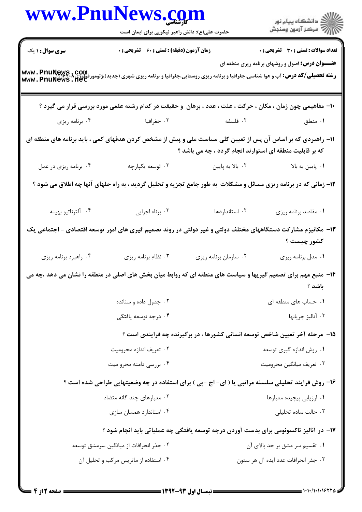| الاستگاه پيام نور)<br>الاستگاه پيام نور)<br><b>تعداد سوالات : تستی : 30 ٪ تشریحی : 0</b><br><b>عنـــوان درس:</b> اصول و روشهای برنامه ریزی منطقه ای<br><b>رشته تحصیلی/کد درس:</b> آب و هوا شناسی،جغرافیا و برنامه ریزی روستایی،جغرافیا و برنامه ریزی شهری (جدید)،ژئومورفولوژی،PhuNews , Tet<br>www . PnuNews . Net |                       | حضرت علی(ع): دانش راهبر نیکویی برای ایمان است |                        |
|--------------------------------------------------------------------------------------------------------------------------------------------------------------------------------------------------------------------------------------------------------------------------------------------------------------------|-----------------------|-----------------------------------------------|------------------------|
|                                                                                                                                                                                                                                                                                                                    |                       |                                               |                        |
|                                                                                                                                                                                                                                                                                                                    |                       | زمان آزمون (دقیقه) : تستی : 60 - تشریحی : 0   | <b>سری سوال :</b> ۱ یک |
|                                                                                                                                                                                                                                                                                                                    |                       |                                               |                        |
| +ا– مفاهیمی چون زمان ، مکان ، حرکت ، علت ، عدد ، برهان ۖ و حقیقت در کدام رشته علمی مورد بررسی قرار می گیرد ؟                                                                                                                                                                                                       |                       |                                               |                        |
| ۰۲ فلسفه<br>۰۱ منطق                                                                                                                                                                                                                                                                                                |                       | ۰۳ جغرافیا                                    | ۰۴ برنامه ریزی         |
| 11- راهبردی که بر اساس آن پس از تعیین کلی سیاست ملی و پیش از مشخص کردن هدفهای کمی ، باید برنامه های منطقه ای<br>که بر قابلیت منطقه ای استوارند انجام گردد ، چه می باشد ؟                                                                                                                                           |                       |                                               |                        |
| ۰۲ بالا به پایین<br>۰۱. پایین به بالا                                                                                                                                                                                                                                                                              |                       | ۰۳ توسعه يکپارچه                              | ۰۴ برنامه ریزی در عمل  |
| ۱۲- زمانی که در برنامه ریزی مسائل و مشکلات به طور جامع تجزیه و تحلیل گردید ، به راه حلهای آنها چه اطلاق می شود ؟                                                                                                                                                                                                   |                       |                                               |                        |
| ۰۲ استانداردها<br>٠١ مقاصد برنامه ريزي                                                                                                                                                                                                                                                                             |                       | ۰۳ برناه اجرایی                               | ۴. آلترناتيو بهينه     |
| ۱۳– مکانیزم مشارکت دستگاههای مختلف دولتی و غیر دولتی در روند تصمیم گیری های امور توسعه اقتصادی – اجتماعی یک<br>كشور چيست ؟                                                                                                                                                                                         |                       |                                               |                        |
| ٠١ مدل برنامه ريزي                                                                                                                                                                                                                                                                                                 | ۰۲ سازمان برنامه ريزي | ۰۳ نظام برنامه ریزی                           | ۰۴ راهبرد برنامه ريزي  |
| ۱۴- منبع مهم برای تصمیم گیریها و سیاست های منطقه ای که روابط میان بخش های اصلی در منطقه را نشان می دهد ،چه می<br>باشد ؟                                                                                                                                                                                            |                       |                                               |                        |
| ۰۱ حساب های منطقه ای                                                                                                                                                                                                                                                                                               |                       | ۰۲ جدول داده و ستانده                         |                        |
| ۰۳ آناليز جريانها                                                                                                                                                                                                                                                                                                  |                       | ۰۴ درجه توسعه یافتگی                          |                        |
| ۱۵- ً مرحله آخر تعیین شاخص توسعه انسانی کشورها ، در برگیرنده چه فرایندی است ؟                                                                                                                                                                                                                                      |                       |                                               |                        |
| ۰۱ روش اندازه گیری توسعه                                                                                                                                                                                                                                                                                           |                       | ۰۲ تعریف اندازه محرومیت                       |                        |
| ۰۳ تعريف ميانگين محروميت                                                                                                                                                                                                                                                                                           |                       | ۰۴ بررسی دامنه محرو میت                       |                        |
| ۱۶- روش فرایند تحلیلی سلسله مراتبی یا ( ای- اچ -پی ) برای استفاده در چه وضعیتهایی طراحی شده است ؟                                                                                                                                                                                                                  |                       |                                               |                        |
| ٠١ ارزيابي پيچيده معيارها                                                                                                                                                                                                                                                                                          |                       | ۰۲ معیارهای چند گانه متضاد                    |                        |
| ۰۳ حالت ساده تحلیلی                                                                                                                                                                                                                                                                                                |                       | ۰۴ استاندارد همسان سازی                       |                        |
| ۱۷- در آنالیز تاکسونومی برای بدست آوردن درجه توسعه یافتگی چه عملیاتی باید انجام شود ؟                                                                                                                                                                                                                              |                       |                                               |                        |
| ۰۱ تقسیم سر مشق بر حد بالای آن                                                                                                                                                                                                                                                                                     |                       | ۰۲ جذر انحرافات از میانگین سرمشق توسعه        |                        |
| ۰۳ جذر انحرافات عدد ايده آل هر ستون                                                                                                                                                                                                                                                                                |                       | ۰۴ استفاده از ماتریس مرکب و تحلیل آن          |                        |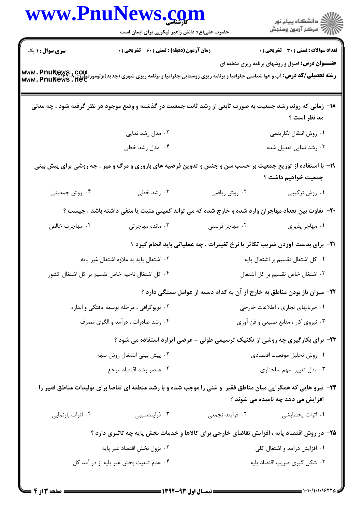|                                                | www.PnuNews.com                                                                                                 |                                                                                      | الاد دانشگاه پيام نور<br>  > مرکز آزمون وسنجش           |  |
|------------------------------------------------|-----------------------------------------------------------------------------------------------------------------|--------------------------------------------------------------------------------------|---------------------------------------------------------|--|
|                                                | حضرت علی(ع): دانش راهبر نیکویی برای ایمان است                                                                   |                                                                                      |                                                         |  |
| <b>سری سوال : ۱ یک</b>                         | <b>زمان آزمون (دقیقه) : تستی : 60 ٪ تشریحی : 0</b>                                                              |                                                                                      | <b>تعداد سوالات : تستی : 30 - تشریحی : 0</b>            |  |
|                                                | <b>www . PnuNews , COm</b> .<br>Www . PnuNews . net<br>Www . PnuNews . net                                      |                                                                                      | <b>عنـــوان درس:</b> اصول و روشهای برنامه ریزی منطقه ای |  |
|                                                | ۱۸– زمانی که روند رشد جمعیت به صورت تابعی از رشد ثابت جمعیت در گذشته و وضع موجود در نظر گرفته شود ، چه مدلی     |                                                                                      | مد نظر است ؟                                            |  |
|                                                | ۰۲ مدل رشد نمایی                                                                                                |                                                                                      | ٠١. روش انتقال لگاريتمي                                 |  |
|                                                | ۰۴ مدل رشد خطی                                                                                                  |                                                                                      | ۰۳ رشد نمایی تعدیل شده                                  |  |
|                                                | ۱۹- با استفاده از توزیع جمعیت بر حسب سن و جنس و تدوین فرضیه های باروری و مرگ و میر ، چه روشی برای پیش بینی      |                                                                                      | جمعیت خواهیم داشت ؟                                     |  |
| ۰۴ روش جمعیتی                                  | ۰۳ رشد خطی                                                                                                      | ۰۲ روش ریاضی                                                                         | ۰۱ روش ترکیبی                                           |  |
|                                                | +۲- تفاوت بین تعداد مهاجران وارد شده و خارج شده که می تواند کمیتی مثبت یا منفی داشته باشد ، چیست ؟              |                                                                                      |                                                         |  |
| ۰۴ مهاجرت خالص                                 | ۰۳ مانده مهاجرتی                                                                                                | ۰۲ مهاجر فرستی                                                                       | ٠١ مهاجر پذيري                                          |  |
|                                                |                                                                                                                 | <b>۲۱</b> - برای بدست آوردن ضریب تکاثر یا نرخ تغییرات ، چه عملیاتی باید انجام گیرد ؟ |                                                         |  |
|                                                | ۰۲ اشتغال پایه به علاوه اشتغال غیر پایه                                                                         |                                                                                      | ٠١ كل اشتغال تقسيم بر اشتغال پايه                       |  |
| ۰۴ کل اشتغال ناحیه خاص تقسیم بر کل اشتغال کشور |                                                                                                                 | ٠٣ اشتغال خاص تقسيم بر كل اشتغال                                                     |                                                         |  |
|                                                |                                                                                                                 | ۲۲- میزان باز بودن مناطق به خارج از آن به کدام دسته از عوامل بستگی دارد ؟            |                                                         |  |
| ۰۲ توپوگرافی ، مرحله توسعه یافتگی و اندازه     |                                                                                                                 | ٠١ جريانهاي تجاري ، اطلاعات خارجي                                                    |                                                         |  |
|                                                | ۰۴ رشد صادرات ، درآمد و الگوی مصرف                                                                              | ۰۳ نیروی کار ، منابع طبیعی و فن آوری                                                 |                                                         |  |
|                                                | ۲۳- برای بکارگیری چه روشی از تکنیک ترسیمی طولی - عرضی ایزارد استفاده می شود ؟                                   |                                                                                      |                                                         |  |
|                                                | ۰۲ پیش بینی اشتغال روش سهم                                                                                      | ٠١ روش تحليل موقعيت اقتصادى                                                          |                                                         |  |
|                                                | ۰۴ عنصر رشد اقتصاد مرجع                                                                                         |                                                                                      | ۰۳ مدل تغییر سهم ساختاری                                |  |
|                                                | ۲۴- نیرو هایی که همگرایی میان مناطق فقیر ً و غنی را موجب شده و با رشد منطقه ای تقاضا برای تولیدات مناطق فقیر را |                                                                                      | افزایش می دهد چه نامیده می شوند ؟                       |  |
| ۰۴ اثرات بازنمایی                              | ۰۳ فرایندسببی                                                                                                   | ۰۲ فرایند تجمعی                                                                      | ۰۱ اثرات پخشایشی                                        |  |
|                                                | ۲۵- در روش اقتصاد پایه ، افزایش تقاضای خارجی برای کالاها و خدمات بخش پایه چه تاثیری دارد ؟                      |                                                                                      |                                                         |  |
|                                                | ۰۲ نزول بخش اقتصاد غير پايه                                                                                     | ۰۱ افزایش درآمد و اشتغال کلی                                                         |                                                         |  |
|                                                | ۰۴ عدم تبعیت بخش غیر پایه از در آمد کل                                                                          |                                                                                      | ۰۳ شکل گیری ضریب اقتصاد پایه                            |  |